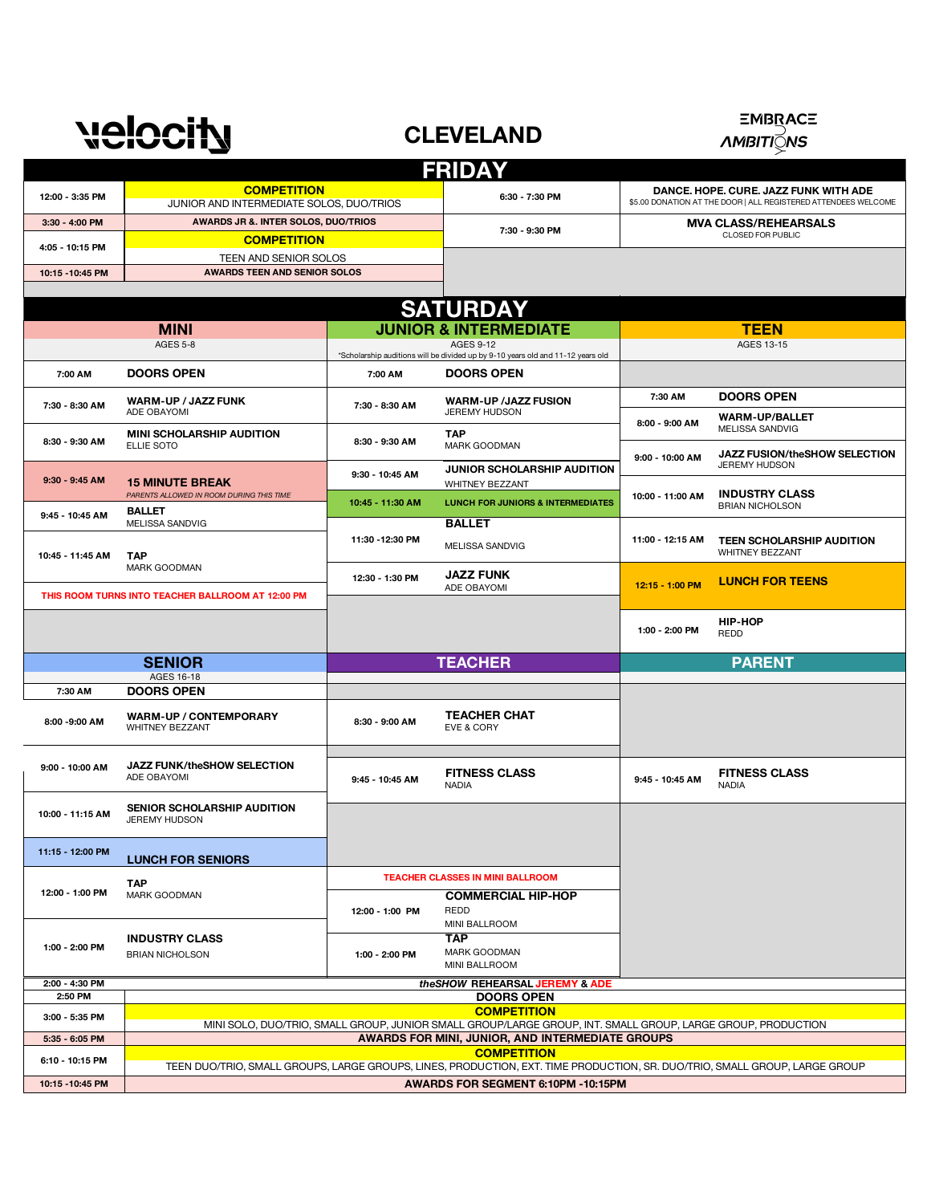## **velocity**

**CLEVELAND**



#### **3:30 - 4:00 PM 10:15 -10:45 PM** ELLIE SOTO **TAP**  MARK GOODMAN **JUNIOR SCHOLARSHIP AUDITION** WHITNEY BEZZANT *PARENTS ALLOWED IN ROOM DURING THIS TIME* MELISSA SANDVIG **BALLET** WHITNEY BEZZANT ADE OBAYOMI EVE & CORY NADIA NADIO NADIO NADIO NADIO NADIO NADIO NADIO NADIO NADIO NADIO NADIO NADIO NADIO NADIO NADIO NADIO NA NADIO NA **LUNCH FOR SENIORS COMMERCIAL HIP-HOP** REDD MINI BALLROOM **TAP** BRIAN NICHOLSON MINI BALLROOM **5:35 - 6:05 PM 10:15 -10:45 PM 6:30 - 7:30 PM DANCE. HOPE. CURE. JAZZ FUNK WITH ADE** \$5.00 DONATION AT THE DOOR | ALL REGISTERED ATTENDEES WELCOME **7:30 - 9:30 PM <b>DEALS MVA CLASS/REHEARSALS AWARDS TEEN AND SENIOR SOLOS AWARDS JR &. INTER SOLOS, DUO/TRIOS SENIOR WARM-UP / CONTEMPORARY 7:30 AM DOORS OPEN 7:30 - 8:30 AM** ADE OBAYOMI WARM-UP /JAZZ FUSION **DOORS OPEN WARM-UP/BALLET** AGES 16-18 **9:30 - 9:45 AM TEACHER 8:00 -9:00 AM** ADE OBAYOMI **11:15 - 12:00 PM 10:45 - 11:45 AM 9:45 - 10:45 AM PARENT COMPETITION** MELISSA SANDVIG **10:00 - 11:15 AM 9:00 - 10:00 AM 9:00 - 10:00 AM JAZZ FUSION/th<br>JEREMY HUDSON SENIOR SCHOLARSHIP AUDITION** JEREMY HUDSON **3:00 - 5:35 PM 1:00 - 2:00 PM** JEREMY HUDSON **8:00 - 9:00 AM 7:30 - 8:30 AM 8:30 - 9:30 AM 7:30 AM B MINI SCHOLARSHIP AUDITION B 8:30 - 9:30 AM MAP TEEN SCHOLARSHIP AUDITION** REDD MARK GOODMAN **11:30 -12:30 PM 12:30 - 1:30 PM 8:30 - 9:00 AM 9:45 - 10:45 AM FITNESS CLASS 1:00 - 2:00 PM TEACHER CLASSES IN MINI BALLROOM**  WHITNEY BEZZANT **12:00 - 1:00 PM TAP TEACHER CHAT BALLET 9:30 - 10:45 AM 10:45 - 11:30 AM LUNCH FOR JUNIORS & INTERMEDIATES 10:00 - 11:00 AM 11:00 - 12:15 AM 12:15 - 1:00 PM INDUSTRY CLASS 15 MINUTE BREAK FITNESS CLASS JAZZ FUNK AWARDS FOR MINI, JUNIOR, AND INTERMEDIATE GROUPS DOORS OPEN 1:00 - 2:00 PM INDUSTRY CLASS THIS ROOM TURNS INTO TEACHER BALLROOM AT 12:00 PM 9:45 - 10:45 AM JAZZ FUSION/theSHOW SELECTION FRIDAY** AGES 9-12 **MINI** AGES 5-8 **12:00 - 3:35 PM TEEN** AGES 13-15 **COMPETITION** JUNIOR AND INTERMEDIATE SOLOS, DUO/TRIOS **COMPETITION 4:05 - 10:15 PM**  TEEN AND SENIOR SOLOS **SATURDAY AWARDS FOR SEGMENT 6:10PM -10:15PM 2:00 - 4:30 PM** *theSHOW* **REHEARSAL JEREMY & ADE COMPETITION** TEEN DUO/TRIO, SMALL GROUPS, LARGE GROUPS, LINES, PRODUCTION, EXT. TIME PRODUCTION, SR. DUO/TRIO, SMALL GROUP, LARGE GROUP **6:10 - 10:15 PM** MINI SOLO, DUO/TRIO, SMALL GROUP, JUNIOR SMALL GROUP/LARGE GROUP, INT. SMALL GROUP, LARGE GROUP, PRODUCTION **JUNIOR & INTERMEDIATE** MARK GOODMAN **TAP JAZZ FUNK/theSHOW SELECTION 2:50 PM HIP-HOP LUNCH FOR TEENS 7:00 AM DOORS OPEN 7:00 AM DOORS OPEN** \*Scholarship auditions will be divided up by 9-10 years old and 11-12 years old **12:00 - 1:00 PM**